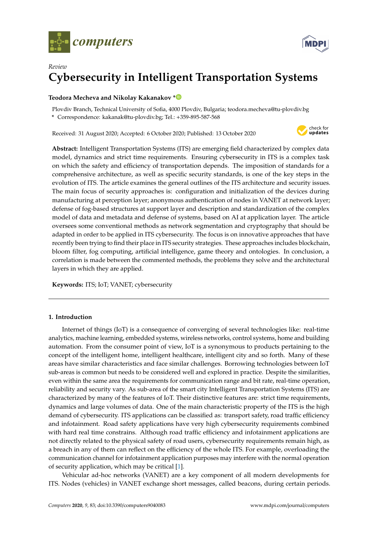



# *Review* **Cybersecurity in Intelligent Transportation Systems**

# **Teodora Mecheva and Nikolay Kakanakov [\\*](https://orcid.org/0000-0001-9227-0603)**

Plovdiv Branch, Technical University of Sofia, 4000 Plovdiv, Bulgaria; teodora.mecheva@tu-plovdiv.bg

**\*** Correspondence: kakanak@tu-plovdiv.bg; Tel.: +359-895-587-568

Received: 31 August 2020; Accepted: 6 October 2020; Published: 13 October 2020



**Abstract:** Intelligent Transportation Systems (ITS) are emerging field characterized by complex data model, dynamics and strict time requirements. Ensuring cybersecurity in ITS is a complex task on which the safety and efficiency of transportation depends. The imposition of standards for a comprehensive architecture, as well as specific security standards, is one of the key steps in the evolution of ITS. The article examines the general outlines of the ITS architecture and security issues. The main focus of security approaches is: configuration and initialization of the devices during manufacturing at perception layer; anonymous authentication of nodes in VANET at network layer; defense of fog-based structures at support layer and description and standardization of the complex model of data and metadata and defense of systems, based on AI at application layer. The article oversees some conventional methods as network segmentation and cryptography that should be adapted in order to be applied in ITS cybersecurity. The focus is on innovative approaches that have recently been trying to find their place in ITS security strategies. These approaches includes blockchain, bloom filter, fog computing, artificial intelligence, game theory and ontologies. In conclusion, a correlation is made between the commented methods, the problems they solve and the architectural layers in which they are applied.

**Keywords:** ITS; IoT; VANET; cybersecurity

# **1. Introduction**

Internet of things (IoT) is a consequence of converging of several technologies like: real-time analytics, machine learning, embedded systems, wireless networks, control systems, home and building automation. From the consumer point of view, IoT is a synonymous to products pertaining to the concept of the intelligent home, intelligent healthcare, intelligent city and so forth. Many of these areas have similar characteristics and face similar challenges. Borrowing technologies between IoT sub-areas is common but needs to be considered well and explored in practice. Despite the similarities, even within the same area the requirements for communication range and bit rate, real-time operation, reliability and security vary. As sub-area of the smart city Intelligent Transportation Systems (ITS) are characterized by many of the features of IoT. Their distinctive features are: strict time requirements, dynamics and large volumes of data. One of the main characteristic property of the ITS is the high demand of cybersecurity. ITS applications can be classified as: transport safety, road traffic efficiency and infotainment. Road safety applications have very high cybersecurity requirements combined with hard real time constrains. Although road traffic efficiency and infotainment applications are not directly related to the physical safety of road users, cybersecurity requirements remain high, as a breach in any of them can reflect on the efficiency of the whole ITS. For example, overloading the communication channel for infotainment application purposes may interfere with the normal operation of security application, which may be critical [\[1\]](#page-10-0).

Vehicular ad-hoc networks (VANET) are a key component of all modern developments for ITS. Nodes (vehicles) in VANET exchange short messages, called beacons, during certain periods.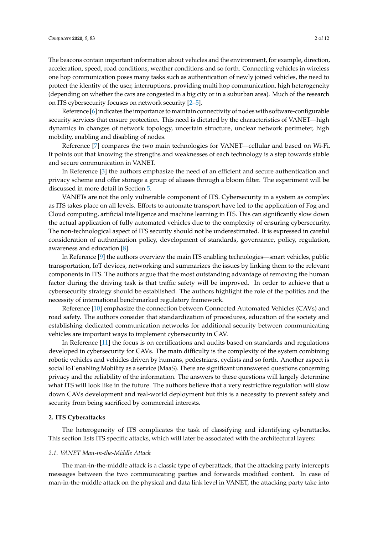The beacons contain important information about vehicles and the environment, for example, direction, acceleration, speed, road conditions, weather conditions and so forth. Connecting vehicles in wireless one hop communication poses many tasks such as authentication of newly joined vehicles, the need to protect the identity of the user, interruptions, providing multi hop communication, high heterogeneity (depending on whether the cars are congested in a big city or in a suburban area). Much of the research on ITS cybersecurity focuses on network security [\[2](#page-10-1)[–5\]](#page-10-2).

Reference [\[6\]](#page-10-3) indicates the importance to maintain connectivity of nodes with software-configurable security services that ensure protection. This need is dictated by the characteristics of VANET—high dynamics in changes of network topology, uncertain structure, unclear network perimeter, high mobility, enabling and disabling of nodes.

Reference [\[7\]](#page-10-4) compares the two main technologies for VANET—cellular and based on Wi-Fi. It points out that knowing the strengths and weaknesses of each technology is a step towards stable and secure communication in VANET.

In Reference [\[3\]](#page-10-5) the authors emphasize the need of an efficient and secure authentication and privacy scheme and offer storage a group of aliases through a bloom filter. The experiment will be discussed in more detail in Section [5.](#page-5-0)

VANETs are not the only vulnerable component of ITS. Cybersecurity in a system as complex as ITS takes place on all levels. Efforts to automate transport have led to the application of Fog and Cloud computing, artificial intelligence and machine learning in ITS. This can significantly slow down the actual application of fully automated vehicles due to the complexity of ensuring cybersecurity. The non-technological aspect of ITS security should not be underestimated. It is expressed in careful consideration of authorization policy, development of standards, governance, policy, regulation, awareness and education [\[8\]](#page-10-6).

In Reference [\[9\]](#page-10-7) the authors overview the main ITS enabling technologies—smart vehicles, public transportation, IoT devices, networking and summarizes the issues by linking them to the relevant components in ITS. The authors argue that the most outstanding advantage of removing the human factor during the driving task is that traffic safety will be improved. In order to achieve that a cybersecurity strategy should be established. The authors highlight the role of the politics and the necessity of international benchmarked regulatory framework.

Reference [\[10\]](#page-10-8) emphasize the connection between Connected Automated Vehicles (CAVs) and road safety. The authors consider that standardization of procedures, education of the society and establishing dedicated communication networks for additional security between communicating vehicles are important ways to implement cybersecurity in CAV.

In Reference [\[11\]](#page-10-9) the focus is on certifications and audits based on standards and regulations developed in cybersecurity for CAVs. The main difficulty is the complexity of the system combining robotic vehicles and vehicles driven by humans, pedestrians, cyclists and so forth. Another aspect is social IoT enabling Mobility as a service (MaaS). There are significant unanswered questions concerning privacy and the reliability of the information. The answers to these questions will largely determine what ITS will look like in the future. The authors believe that a very restrictive regulation will slow down CAVs development and real-world deployment but this is a necessity to prevent safety and security from being sacrificed by commercial interests.

#### **2. ITS Cyberattacks**

The heterogeneity of ITS complicates the task of classifying and identifying cyberattacks. This section lists ITS specific attacks, which will later be associated with the architectural layers:

#### *2.1. VANET Man-in-the-Middle Attack*

The man-in-the-middle attack is a classic type of cyberattack, that the attacking party intercepts messages between the two communicating parties and forwards modified content. In case of man-in-the-middle attack on the physical and data link level in VANET, the attacking party take into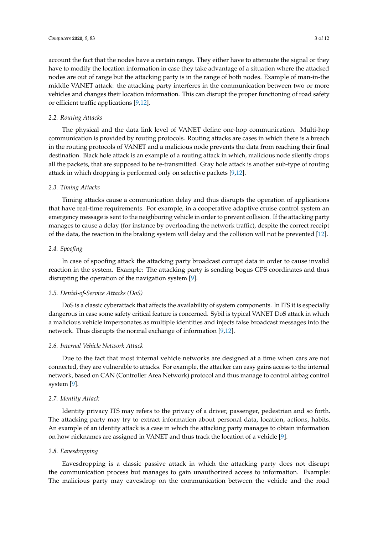account the fact that the nodes have a certain range. They either have to attenuate the signal or they have to modify the location information in case they take advantage of a situation where the attacked nodes are out of range but the attacking party is in the range of both nodes. Example of man-in-the middle VANET attack: the attacking party interferes in the communication between two or more vehicles and changes their location information. This can disrupt the proper functioning of road safety or efficient traffic applications [\[9,](#page-10-7)[12\]](#page-10-10).

# *2.2. Routing Attacks*

The physical and the data link level of VANET define one-hop communication. Multi-hop communication is provided by routing protocols. Routing attacks are cases in which there is a breach in the routing protocols of VANET and a malicious node prevents the data from reaching their final destination. Black hole attack is an example of a routing attack in which, malicious node silently drops all the packets, that are supposed to be re-transmitted. Gray hole attack is another sub-type of routing attack in which dropping is performed only on selective packets [\[9](#page-10-7)[,12\]](#page-10-10).

#### *2.3. Timing Attacks*

Timing attacks cause a communication delay and thus disrupts the operation of applications that have real-time requirements. For example, in a cooperative adaptive cruise control system an emergency message is sent to the neighboring vehicle in order to prevent collision. If the attacking party manages to cause a delay (for instance by overloading the network traffic), despite the correct receipt of the data, the reaction in the braking system will delay and the collision will not be prevented [\[12\]](#page-10-10).

# *2.4. Spoofing*

In case of spoofing attack the attacking party broadcast corrupt data in order to cause invalid reaction in the system. Example: The attacking party is sending bogus GPS coordinates and thus disrupting the operation of the navigation system [\[9\]](#page-10-7).

#### *2.5. Denial-of-Service Attacks (DoS)*

DoS is a classic cyberattack that affects the availability of system components. In ITS it is especially dangerous in case some safety critical feature is concerned. Sybil is typical VANET DoS attack in which a malicious vehicle impersonates as multiple identities and injects false broadcast messages into the network. Thus disrupts the normal exchange of information [\[9,](#page-10-7)[12\]](#page-10-10).

# *2.6. Internal Vehicle Network Attack*

Due to the fact that most internal vehicle networks are designed at a time when cars are not connected, they are vulnerable to attacks. For example, the attacker can easy gains access to the internal network, based on CAN (Controller Area Network) protocol and thus manage to control airbag control system [\[9\]](#page-10-7).

# *2.7. Identity Attack*

Identity privacy ITS may refers to the privacy of a driver, passenger, pedestrian and so forth. The attacking party may try to extract information about personal data, location, actions, habits. An example of an identity attack is a case in which the attacking party manages to obtain information on how nicknames are assigned in VANET and thus track the location of a vehicle [\[9\]](#page-10-7).

#### *2.8. Eavesdropping*

Eavesdropping is a classic passive attack in which the attacking party does not disrupt the communication process but manages to gain unauthorized access to information. Example: The malicious party may eavesdrop on the communication between the vehicle and the road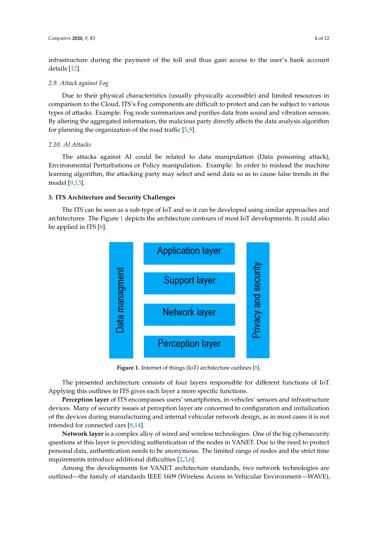infrastructure during the payment of the toll and thus gain access to the user's bank account details [\[12\]](#page-10-10).

# *2.9. Attack against Fog 2.9. Attack against Fog*

Due to their physical characteristics (usually physically accessible) and limited resources in Due to their physical characteristics (usually physically accessible) and limited resources in comparison to the Cloud, ITS's Fog components are difficult to protect and can be subject to various comparison to the Cloud, ITS's Fog components are difficult to protect and can be subject to various types of attacks. Example: Fog node summarizes and purifies data from sound and vibration sensors. types of attacks. Example: Fog node summarizes and purifies data from sound and vibration sensors. By altering the aggregated information, the malicious party directly affects the data analysis algorithm By altering the aggregated information, the malicious party directly affects the data analysis algorithm for planning the organization of the road traffic [\[5](#page-10-2)[,9\]](#page-10-7). for planning the organization of the road traffic [5,9].

# *2.10. AI Attacks 2.10. AI Attacks*

The attacks against AI could be related to data manipulation (Data poisoning attack), Environmental Perturbations or Policy manipulation. Example: In order to mislead the machine learning algorithm, the attacking party may select and send data so as to cause false trends in the model [\[9](#page-10-7)[,13\]](#page-10-11).

# **3. ITS Architecture and Security Challenges 3. ITS Architecture and Security Challenges**

<span id="page-3-0"></span>The ITS can be seen as a sub-type of IoT and so it can be developed using similar approaches and The ITS can be seen as a sub-type of IoT and so it can be developed using similar approaches architectures. The Figure [1](#page-3-0) depicts the architecture contours of most IoT developments. It could also and architectures. be applied in ITS [\[8\]](#page-10-6). alertice cares: The Tigate



**Figure 1.** Internet of things (IoT) architecture outlines [\[8\]](#page-10-6).

Applying this outlines in ITS gives each layer a more specific functions. The presented architecture consists of four layers responsible for different functions of IoT.

**Perception layer** of ITS encompasses users' smartphones, in-vehicles' sensors and infrastructure devices. Many of security issues at perception layer are concerned to configuration and initialization of the devices during manufacturing and internal vehicular network design, as in most cases it is not intended for connected cars  $[8,14]$  $[8,14]$ .

**Network layer** is a complex alloy of wired and wireless technologies. One of the big cybersecurity questions at this layer is providing authentication of the nodes in VANET. Due to the need to protect personal data, authentication needs to be anonymous. The limited range of nodes and the strict time requirements introduce additional difficulties  $[2,3,6]$  $[2,3,6]$  $[2,3,6]$ .

Among the developments for VANET architecture standards, two network technologies are outlined—the family of standards IEEE 1609 (Wireless Access in Vehicular Environment—WAVE),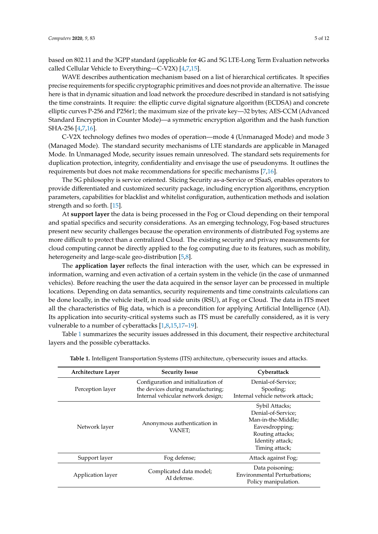based on 802.11 and the 3GPP standard (applicable for 4G and 5G LTE-Long Term Evaluation networks called Cellular Vehicle to Everything—C-V2X) [\[4](#page-10-13)[,7](#page-10-4)[,15\]](#page-10-14).

WAVE describes authentication mechanism based on a list of hierarchical certificates. It specifies precise requirements for specific cryptographic primitives and does not provide an alternative. The issue here is that in dynamic situation and load network the procedure described in standard is not satisfying the time constraints. It require: the elliptic curve digital signature algorithm (ECDSA) and concrete elliptic curves P-256 and P256r1; the maximum size of the private key—32 bytes; AES-CCM (Advanced Standard Encryption in Counter Mode)—a symmetric encryption algorithm and the hash function SHA-256 [\[4](#page-10-13)[,7](#page-10-4)[,16\]](#page-11-0).

C-V2X technology defines two modes of operation—mode 4 (Unmanaged Mode) and mode 3 (Managed Mode). The standard security mechanisms of LTE standards are applicable in Managed Mode. In Unmanaged Mode, security issues remain unresolved. The standard sets requirements for duplication protection, integrity, confidentiality and envisage the use of pseudonyms. It outlines the requirements but does not make recommendations for specific mechanisms [\[7](#page-10-4)[,16\]](#page-11-0).

The 5G philosophy is service oriented. Slicing Security as-a-Service or SSaaS, enables operators to provide differentiated and customized security package, including encryption algorithms, encryption parameters, capabilities for blacklist and whitelist configuration, authentication methods and isolation strength and so forth. [\[15\]](#page-10-14).

At **support layer** the data is being processed in the Fog or Cloud depending on their temporal and spatial specifics and security considerations. As an emerging technology, Fog-based structures present new security challenges because the operation environments of distributed Fog systems are more difficult to protect than a centralized Cloud. The existing security and privacy measurements for cloud computing cannot be directly applied to the fog computing due to its features, such as mobility, heterogeneity and large-scale geo-distribution [\[5](#page-10-2)[,8\]](#page-10-6).

The **application layer** reflects the final interaction with the user, which can be expressed in information, warning and even activation of a certain system in the vehicle (in the case of unmanned vehicles). Before reaching the user the data acquired in the sensor layer can be processed in multiple locations. Depending on data semantics, security requirements and time constraints calculations can be done locally, in the vehicle itself, in road side units (RSU), at Fog or Cloud. The data in ITS meet all the characteristics of Big data, which is a precondition for applying Artificial Intelligence (AI). Its application into security-critical systems such as ITS must be carefully considered, as it is very vulnerable to a number of cyberattacks [\[1](#page-10-0)[,8,](#page-10-6)[15,](#page-10-14)[17](#page-11-1)[–19\]](#page-11-2).

Table [1](#page-4-0) summarizes the security issues addressed in this document, their respective architectural layers and the possible cyberattacks.

<span id="page-4-0"></span>

| <b>Architecture Layer</b> | <b>Security Issue</b>                                                                                          | Cyberattack                                                                                                                            |  |
|---------------------------|----------------------------------------------------------------------------------------------------------------|----------------------------------------------------------------------------------------------------------------------------------------|--|
| Perception layer          | Configuration and initialization of<br>the devices during manufacturing;<br>Internal vehicular network design; | Denial-of-Service;<br>Spoofing;<br>Internal vehicle network attack;                                                                    |  |
| Network layer             | Anonymous authentication in<br>VANET;                                                                          | Sybil Attacks;<br>Denial-of-Service;<br>Man-in-the-Middle;<br>Eavesdropping;<br>Routing attacks;<br>Identity attack;<br>Timing attack; |  |
| Support layer             | Fog defense;                                                                                                   | Attack against Fog;                                                                                                                    |  |
| Application layer         | Complicated data model;<br>AI defense.                                                                         | Data poisoning;<br><b>Environmental Perturbations;</b><br>Policy manipulation.                                                         |  |

**Table 1.** Intelligent Transportation Systems (ITS) architecture, cybersecurity issues and attacks.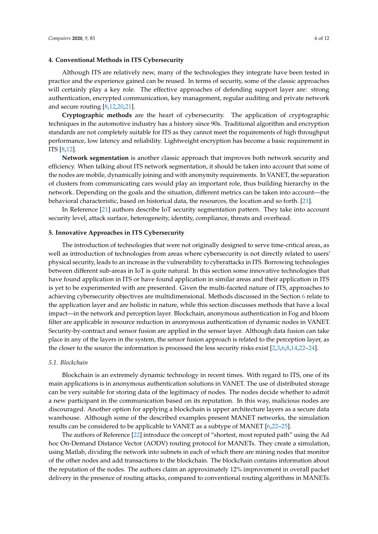# **4. Conventional Methods in ITS Cybersecurity**

Although ITS are relatively new, many of the technologies they integrate have been tested in practice and the experience gained can be reused. In terms of security, some of the classic approaches will certainly play a key role. The effective approaches of defending support layer are: strong authentication, encrypted communication, key management, regular auditing and private network and secure routing [\[8](#page-10-6)[,12](#page-10-10)[,20,](#page-11-3)[21\]](#page-11-4).

**Cryptographic methods** are the heart of cybersecurity. The application of cryptographic techniques in the automotive industry has a history since 90s. Traditional algorithm and encryption standards are not completely suitable for ITS as they cannot meet the requirements of high throughput performance, low latency and reliability. Lightweight encryption has become a basic requirement in ITS [\[8,](#page-10-6)[12\]](#page-10-10).

**Network segmentation** is another classic approach that improves both network security and efficiency. When talking about ITS network segmentation, it should be taken into account that some of the nodes are mobile, dynamically joining and with anonymity requirements. In VANET, the separation of clusters from communicating cars would play an important role, thus building hierarchy in the network. Depending on the goals and the situation, different metrics can be taken into account—the behavioral characteristic, based on historical data, the resources, the location and so forth. [\[21\]](#page-11-4).

In Reference [\[21\]](#page-11-4) authors describe IoT security segmentation pattern. They take into account security level, attack surface, heterogeneity, identity, compliance, threats and overhead.

# <span id="page-5-0"></span>**5. Innovative Approaches in ITS Cybersecurity**

The introduction of technologies that were not originally designed to serve time-critical areas, as well as introduction of technologies from areas where cybersecurity is not directly related to users' physical security, leads to an increase in the vulnerability to cyberattacks in ITS. Borrowing technologies between different sub-areas in IoT is quite natural. In this section some innovative technologies that have found application in ITS or have found application in similar areas and their application in ITS is yet to be experimented with are presented. Given the multi-faceted nature of ITS, approaches to achieving cybersecurity objectives are multidimensional. Methods discussed in the Section [6](#page-7-0) relate to the application layer and are holistic in nature, while this section discusses methods that have a local impact—in the network and perception layer. Blockchain, anonymous authentication in Fog and bloom filter are applicable in resource reduction in anonymous authentication of dynamic nodes in VANET. Security-by-contract and sensor fusion are applied in the sensor layer. Although data fusion can take place in any of the layers in the system, the sensor fusion approach is related to the perception layer, as the closer to the source the information is processed the less security risks exist [\[2,](#page-10-1)[3,](#page-10-5)[6,](#page-10-3)[8,](#page-10-6)[14](#page-10-12)[,22–](#page-11-5)[24\]](#page-11-6).

#### *5.1. Blockchain*

Blockchain is an extremely dynamic technology in recent times. With regard to ITS, one of its main applications is in anonymous authentication solutions in VANET. The use of distributed storage can be very suitable for storing data of the legitimacy of nodes. The nodes decide whether to admit a new participant in the communication based on its reputation. In this way, malicious nodes are discouraged. Another option for applying a blockchain is upper architecture layers as a secure data warehouse. Although some of the described examples present MANET networks, the simulation results can be considered to be applicable to VANET as a subtype of MANET [\[6](#page-10-3)[,22](#page-11-5)[–25\]](#page-11-7).

The authors of Reference [\[22\]](#page-11-5) introduce the concept of "shortest, most reputed path" using the Ad hoc On-Demand Distance Vector (AODV) routing protocol for MANETs. They create a simulation, using Matlab, dividing the network into subnets in each of which there are mining nodes that monitor of the other nodes and add transactions to the blockchain. The blockchain contains information about the reputation of the nodes. The authors claim an approximately 12% improvement in overall packet delivery in the presence of routing attacks, compared to conventional routing algorithms in MANETs.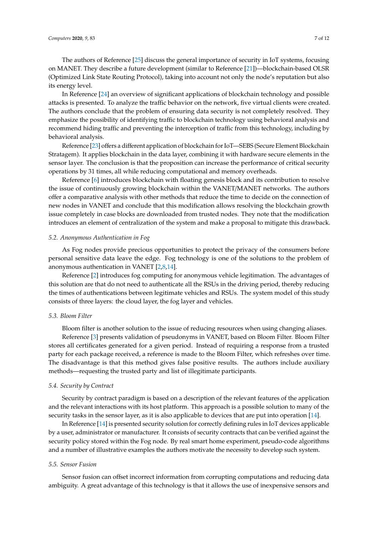The authors of Reference [\[25\]](#page-11-7) discuss the general importance of security in IoT systems, focusing on MANET. They describe a future development (similar to Reference [\[21\]](#page-11-4))—blockchain-based OLSR (Optimized Link State Routing Protocol), taking into account not only the node's reputation but also its energy level.

In Reference [\[24\]](#page-11-6) an overview of significant applications of blockchain technology and possible attacks is presented. To analyze the traffic behavior on the network, five virtual clients were created. The authors conclude that the problem of ensuring data security is not completely resolved. They emphasize the possibility of identifying traffic to blockchain technology using behavioral analysis and recommend hiding traffic and preventing the interception of traffic from this technology, including by behavioral analysis.

Reference [\[23\]](#page-11-8) offers a different application of blockchain for IoT—SEBS (Secure Element Blockchain Stratagem). It applies blockchain in the data layer, combining it with hardware secure elements in the sensor layer. The conclusion is that the proposition can increase the performance of critical security operations by 31 times, all while reducing computational and memory overheads.

Reference [\[6\]](#page-10-3) introduces blockchain with floating genesis block and its contribution to resolve the issue of continuously growing blockchain within the VANET/MANET networks. The authors offer a comparative analysis with other methods that reduce the time to decide on the connection of new nodes in VANET and conclude that this modification allows resolving the blockchain growth issue completely in case blocks are downloaded from trusted nodes. They note that the modification introduces an element of centralization of the system and make a proposal to mitigate this drawback.

#### *5.2. Anonymous Authentication in Fog*

As Fog nodes provide precious opportunities to protect the privacy of the consumers before personal sensitive data leave the edge. Fog technology is one of the solutions to the problem of anonymous authentication in VANET [\[2](#page-10-1)[,8](#page-10-6)[,14\]](#page-10-12).

Reference [\[2\]](#page-10-1) introduces fog computing for anonymous vehicle legitimation. The advantages of this solution are that do not need to authenticate all the RSUs in the driving period, thereby reducing the times of authentications between legitimate vehicles and RSUs. The system model of this study consists of three layers: the cloud layer, the fog layer and vehicles.

# *5.3. Bloom Filter*

Bloom filter is another solution to the issue of reducing resources when using changing aliases.

Reference [\[3\]](#page-10-5) presents validation of pseudonyms in VANET, based on Bloom Filter. Bloom Filter stores all certificates generated for a given period. Instead of requiring a response from a trusted party for each package received, a reference is made to the Bloom Filter, which refreshes over time. The disadvantage is that this method gives false positive results. The authors include auxiliary methods—requesting the trusted party and list of illegitimate participants.

#### *5.4. Security by Contract*

Security by contract paradigm is based on a description of the relevant features of the application and the relevant interactions with its host platform. This approach is a possible solution to many of the security tasks in the sensor layer, as it is also applicable to devices that are put into operation [\[14\]](#page-10-12).

In Reference [\[14\]](#page-10-12) is presented security solution for correctly defining rules in IoT devices applicable by a user, administrator or manufacturer. It consists of security contracts that can be verified against the security policy stored within the Fog node. By real smart home experiment, pseudo-code algorithms and a number of illustrative examples the authors motivate the necessity to develop such system.

#### *5.5. Sensor Fusion*

Sensor fusion can offset incorrect information from corrupting computations and reducing data ambiguity. A great advantage of this technology is that it allows the use of inexpensive sensors and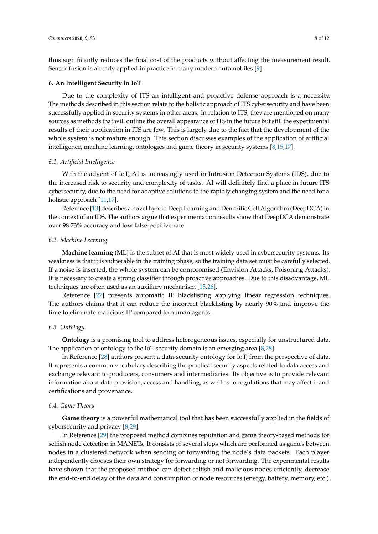thus significantly reduces the final cost of the products without affecting the measurement result. Sensor fusion is already applied in practice in many modern automobiles [\[9\]](#page-10-7).

#### <span id="page-7-0"></span>**6. An Intelligent Security in IoT**

Due to the complexity of ITS an intelligent and proactive defense approach is a necessity. The methods described in this section relate to the holistic approach of ITS cybersecurity and have been successfully applied in security systems in other areas. In relation to ITS, they are mentioned on many sources as methods that will outline the overall appearance of ITS in the future but still the experimental results of their application in ITS are few. This is largely due to the fact that the development of the whole system is not mature enough. This section discusses examples of the application of artificial intelligence, machine learning, ontologies and game theory in security systems [\[8,](#page-10-6)[15,](#page-10-14)[17\]](#page-11-1).

### *6.1. Artificial Intelligence*

With the advent of IoT, AI is increasingly used in Intrusion Detection Systems (IDS), due to the increased risk to security and complexity of tasks. AI will definitely find a place in future ITS cybersecurity, due to the need for adaptive solutions to the rapidly changing system and the need for a holistic approach [\[11](#page-10-9)[,17\]](#page-11-1).

Reference [\[13\]](#page-10-11) describes a novel hybrid Deep Learning and Dendritic Cell Algorithm (DeepDCA) in the context of an IDS. The authors argue that experimentation results show that DeepDCA demonstrate over 98.73% accuracy and low false-positive rate.

# *6.2. Machine Learning*

**Machine learning** (ML) is the subset of AI that is most widely used in cybersecurity systems. Its weakness is that it is vulnerable in the training phase, so the training data set must be carefully selected. If a noise is inserted, the whole system can be compromised (Envision Attacks, Poisoning Attacks). It is necessary to create a strong classifier through proactive approaches. Due to this disadvantage, ML techniques are often used as an auxiliary mechanism [\[15,](#page-10-14)[26\]](#page-11-9).

Reference [\[27\]](#page-11-10) presents automatic IP blacklisting applying linear regression techniques. The authors claims that it can reduce the incorrect blacklisting by nearly 90% and improve the time to eliminate malicious IP compared to human agents.

#### *6.3. Ontology*

**Ontology** is a promising tool to address heterogeneous issues, especially for unstructured data. The application of ontology to the IoT security domain is an emerging area [\[8](#page-10-6)[,28\]](#page-11-11).

In Reference [\[28\]](#page-11-11) authors present a data-security ontology for IoT, from the perspective of data. It represents a common vocabulary describing the practical security aspects related to data access and exchange relevant to producers, consumers and intermediaries. Its objective is to provide relevant information about data provision, access and handling, as well as to regulations that may affect it and certifications and provenance.

#### *6.4. Game Theory*

**Game theory** is a powerful mathematical tool that has been successfully applied in the fields of cybersecurity and privacy [\[8](#page-10-6)[,29\]](#page-11-12).

In Reference [\[29\]](#page-11-12) the proposed method combines reputation and game theory-based methods for selfish node detection in MANETs. It consists of several steps which are performed as games between nodes in a clustered network when sending or forwarding the node's data packets. Each player independently chooses their own strategy for forwarding or not forwarding. The experimental results have shown that the proposed method can detect selfish and malicious nodes efficiently, decrease the end-to-end delay of the data and consumption of node resources (energy, battery, memory, etc.).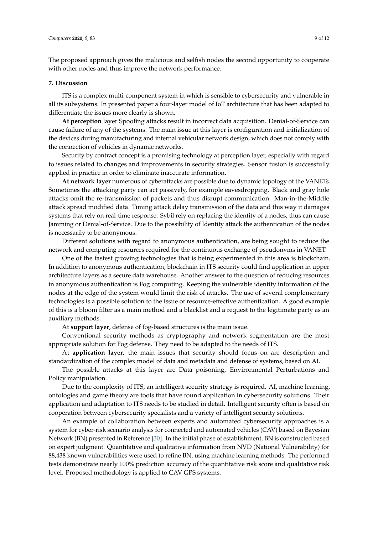The proposed approach gives the malicious and selfish nodes the second opportunity to cooperate with other nodes and thus improve the network performance.

#### **7. Discussion**

ITS is a complex multi-component system in which is sensible to cybersecurity and vulnerable in all its subsystems. In presented paper a four-layer model of IoT architecture that has been adapted to differentiate the issues more clearly is shown.

**At perception** layer Spoofing attacks result in incorrect data acquisition. Denial-of-Service can cause failure of any of the systems. The main issue at this layer is configuration and initialization of the devices during manufacturing and internal vehicular network design, which does not comply with the connection of vehicles in dynamic networks.

Security by contract concept is a promising technology at perception layer, especially with regard to issues related to changes and improvements in security strategies. Sensor fusion is successfully applied in practice in order to eliminate inaccurate information.

**At network layer** numerous of cyberattacks are possible due to dynamic topology of the VANETs. Sometimes the attacking party can act passively, for example eavesdropping. Black and gray hole attacks omit the re-transmission of packets and thus disrupt communication. Man-in-the-Middle attack spread modified data. Timing attack delay transmission of the data and this way it damages systems that rely on real-time response. Sybil rely on replacing the identity of a nodes, thus can cause Jamming or Denial-of-Service. Due to the possibility of Identity attack the authentication of the nodes is necessarily to be anonymous.

Different solutions with regard to anonymous authentication, are being sought to reduce the network and computing resources required for the continuous exchange of pseudonyms in VANET.

One of the fastest growing technologies that is being experimented in this area is blockchain. In addition to anonymous authentication, blockchain in ITS security could find application in upper architecture layers as a secure data warehouse. Another answer to the question of reducing resources in anonymous authentication is Fog computing. Keeping the vulnerable identity information of the nodes at the edge of the system would limit the risk of attacks. The use of several complementary technologies is a possible solution to the issue of resource-effective authentication. A good example of this is a bloom filter as a main method and a blacklist and a request to the legitimate party as an auxiliary methods.

At **support layer**, defense of fog-based structures is the main issue.

Conventional security methods as cryptography and network segmentation are the most appropriate solution for Fog defense. They need to be adapted to the needs of ITS.

At **application layer**, the main issues that security should focus on are description and standardization of the complex model of data and metadata and defense of systems, based on AI.

The possible attacks at this layer are Data poisoning, Environmental Perturbations and Policy manipulation.

Due to the complexity of ITS, an intelligent security strategy is required. AI, machine learning, ontologies and game theory are tools that have found application in cybersecurity solutions. Their application and adaptation to ITS needs to be studied in detail. Intelligent security often is based on cooperation between cybersecurity specialists and a variety of intelligent security solutions.

An example of collaboration between experts and automated cybersecurity approaches is a system for cyber-risk scenario analysis for connected and automated vehicles (CAV) based on Bayesian Network (BN) presented in Reference [\[30\]](#page-11-13). In the initial phase of establishment, BN is constructed based on expert judgment. Quantitative and qualitative information from NVD (National Vulnerability) for 88,438 known vulnerabilities were used to refine BN, using machine learning methods. The performed tests demonstrate nearly 100% prediction accuracy of the quantitative risk score and qualitative risk level. Proposed methodology is applied to CAV GPS systems.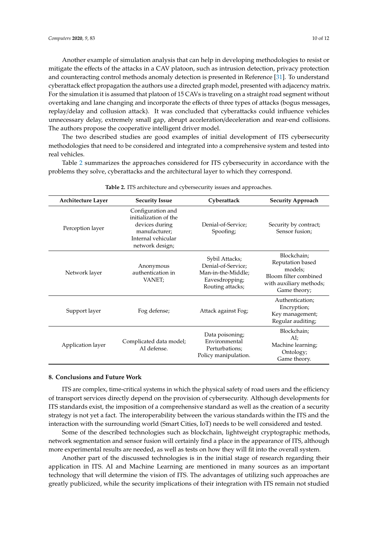Another example of simulation analysis that can help in developing methodologies to resist or mitigate the effects of the attacks in a CAV platoon, such as intrusion detection, privacy protection and counteracting control methods anomaly detection is presented in Reference [\[31\]](#page-11-14). To understand cyberattack effect propagation the authors use a directed graph model, presented with adjacency matrix. For the simulation it is assumed that platoon of 15 CAVs is traveling on a straight road segment without overtaking and lane changing and incorporate the effects of three types of attacks (bogus messages, replay/delay and collusion attack). It was concluded that cyberattacks could influence vehicles unnecessary delay, extremely small gap, abrupt acceleration/deceleration and rear-end collisions. The authors propose the cooperative intelligent driver model.

The two described studies are good examples of initial development of ITS cybersecurity methodologies that need to be considered and integrated into a comprehensive system and tested into real vehicles.

Table [2](#page-9-0) summarizes the approaches considered for ITS cybersecurity in accordance with the problems they solve, cyberattacks and the architectural layer to which they correspond.

<span id="page-9-0"></span>

| <b>Architecture Layer</b> | <b>Security Issue</b>                                                                                                  | Cyberattack                                                                                      | <b>Security Approach</b>                                                                                       |
|---------------------------|------------------------------------------------------------------------------------------------------------------------|--------------------------------------------------------------------------------------------------|----------------------------------------------------------------------------------------------------------------|
| Perception layer          | Configuration and<br>initialization of the<br>devices during<br>manufacturer;<br>Internal vehicular<br>network design; | Denial-of-Service;<br>Spoofing;                                                                  | Security by contract;<br>Sensor fusion;                                                                        |
| Network layer             | Anonymous<br>authentication in<br>VANET;                                                                               | Sybil Attacks;<br>Denial-of-Service;<br>Man-in-the-Middle;<br>Eavesdropping;<br>Routing attacks; | Blockchain;<br>Reputation based<br>models;<br>Bloom filter combined<br>with auxiliary methods;<br>Game theory; |
| Support layer             | Fog defense;                                                                                                           | Attack against Fog;                                                                              | Authentication;<br>Encryption;<br>Key management;<br>Regular auditing;                                         |
| Application layer         | Complicated data model;<br>AI defense.                                                                                 | Data poisoning;<br>Environmental<br>Perturbations;<br>Policy manipulation.                       | Blockchain;<br>AI;<br>Machine learning;<br>Ontology;<br>Game theory.                                           |

**Table 2.** ITS architecture and cybersecurity issues and approaches.

# **8. Conclusions and Future Work**

ITS are complex, time-critical systems in which the physical safety of road users and the efficiency of transport services directly depend on the provision of cybersecurity. Although developments for ITS standards exist, the imposition of a comprehensive standard as well as the creation of a security strategy is not yet a fact. The interoperability between the various standards within the ITS and the interaction with the surrounding world (Smart Cities, IoT) needs to be well considered and tested.

Some of the described technologies such as blockchain, lightweight cryptographic methods, network segmentation and sensor fusion will certainly find a place in the appearance of ITS, although more experimental results are needed, as well as tests on how they will fit into the overall system.

Another part of the discussed technologies is in the initial stage of research regarding their application in ITS. AI and Machine Learning are mentioned in many sources as an important technology that will determine the vision of ITS. The advantages of utilizing such approaches are greatly publicized, while the security implications of their integration with ITS remain not studied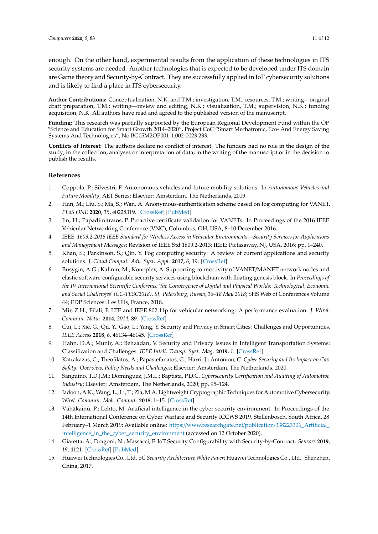enough. On the other hand, experimental results from the application of these technologies in ITS security systems are needed. Another technologies that is expected to be developed under ITS domain are Game theory and Security-by-Contract. They are successfully applied in IoT cybersecurity solutions and is likely to find a place in ITS cybersecurity.

**Author Contributions:** Conceptualization, N.K. and T.M.; investigation, T.M.; resources, T.M.; writing—original draft preparation, T.M.; writing—review and editing, N.K.; visualization, T.M.; supervision, N.K.; funding acquisition, N.K. All authors have read and agreed to the published version of the manuscript.

**Funding:** This research was partially supported by the European Regional Development Fund within the OP "Science and Education for Smart Growth 2014–2020", Project CoC "Smart Mechatronic, Eco- And Energy Saving Systems And Technologies", No BG05M2OP001-1.002-0023 233.

**Conflicts of Interest:** The authors declare no conflict of interest. The funders had no role in the design of the study; in the collection, analyses or interpretation of data; in the writing of the manuscript or in the decision to publish the results.

# **References**

- <span id="page-10-0"></span>1. Coppola, P.; Silvestri, F. Autonomous vehicles and future mobility solutions. In *Autonomous Vehicles and Future Mobility*; AET Series; Elsevier: Amsterdam, The Netherlands, 2019.
- <span id="page-10-1"></span>2. Han, M.; Liu, S.; Ma, S.; Wan, A. Anonymous-authentication scheme based on fog computing for VANET. *PLoS ONE* **2020**, *15*, e0228319. [\[CrossRef\]](http://dx.doi.org/10.1371/journal.pone.0228319) [\[PubMed\]](http://www.ncbi.nlm.nih.gov/pubmed/32053610)
- <span id="page-10-5"></span>3. Jin, H.; Papadimitratos, P. Proactive certificate validation for VANETs. In Proceedings of the 2016 IEEE Vehicular Networking Conference (VNC), Columbus, OH, USA, 8–10 December 2016.
- <span id="page-10-13"></span>4. IEEE. *1609.2-2016 IEEE Standard for Wireless Access in Vehicular Environments—Security Services for Applications and Management Messages*; Revision of IEEE Std 1609.2-2013; IEEE: Pictasaway, NJ, USA, 2016; pp. 1–240.
- <span id="page-10-2"></span>5. Khan, S.; Parkinson, S.; Qin, Y. Fog computing security: A review of current applications and security solutions. *J. Cloud Comput. Adv. Syst. Appl.* **2017**, *6*, 19. [\[CrossRef\]](http://dx.doi.org/10.1186/s13677-017-0090-3)
- <span id="page-10-3"></span>6. Busygin, A.G.; Kalinin, M.; Konoplev, A. Supporting connectivity of VANET/MANET network nodes and elastic software-configurable security services using blockchain with floating genesis block. In *Proceedings of the IV International Scientific Conference 'the Convergence of Digital and Physical Worlds: Technological, Economic and Social Challenges' (CC-TESC2018), St. Petersburg, Russia, 16–18 May 2018*; SHS Web of Conferences Volume 44; EDP Sciences: Les Ulis, France, 2018.
- <span id="page-10-4"></span>7. Mir, Z.H.; Filali, F. LTE and IEEE 802.11p for vehicular networking: A performance evaluation. *J. Wirel. Commun. Netw.* **2014**, *2014*, 89. [\[CrossRef\]](http://dx.doi.org/10.1186/1687-1499-2014-89)
- <span id="page-10-6"></span>8. Cui, L.; Xie, G.; Qu, Y.; Gao, L.; Yang, Y. Security and Privacy in Smart Cities: Challenges and Opportunities. *IEEE Access* **2018**, *6*, 46134–46145. [\[CrossRef\]](http://dx.doi.org/10.1109/ACCESS.2018.2853985)
- <span id="page-10-7"></span>9. Hahn, D.A.; Munir, A.; Behzadan, V. Security and Privacy Issues in Intelligent Transportation Systems: Classification and Challenges. *IEEE Intell. Transp. Syst. Mag.* **2019**, *1*. [\[CrossRef\]](http://dx.doi.org/10.1109/MITS.2019.2898973)
- <span id="page-10-8"></span>10. Katrakazas, C.; Theofilatos, A.; Papastefanatos, G.; Härri, J.; Antoniou, C. *Cyber Security and Its Impact on Cav Safety: Overview, Policy Needs and Challenges*; Elsevier: Amsterdam, The Netherlands, 2020.
- <span id="page-10-9"></span>11. Sanguino, T.D.J.M.; Domínguez, J.M.L.; Baptista, P.D.C. *Cybersecurity Certification and Auditing of Automotive Industry*; Elsevier: Amsterdam, The Netherlands, 2020; pp. 95–124.
- <span id="page-10-10"></span>12. Jadoon, A.K.; Wang, L.; Li, T.; Zia, M.A. Lightweight Cryptographic Techniques for Automotive Cybersecurity. *Wirel. Commun. Mob. Comput.* **2018**, 1–15. [\[CrossRef\]](http://dx.doi.org/10.1155/2018/1640167)
- <span id="page-10-11"></span>13. Vähäkainu, P.; Lehto, M. Artificial intelligence in the cyber security environment. In Proceedings of the 14th International Conference on Cyber Warfare and Security ICCWS 2019, Stellenbosch, South Africa, 28 February–1 March 2019; Available online: https://[www.researchgate.net](https://www.researchgate.net/publication/338223306_Artificial_intelligence_in_the_cyber_security_environment)/publication/338223306\_Artificial\_ [intelligence\\_in\\_the\\_cyber\\_security\\_environment](https://www.researchgate.net/publication/338223306_Artificial_intelligence_in_the_cyber_security_environment) (accessed on 12 October 2020).
- <span id="page-10-12"></span>14. Giaretta, A.; Dragoni, N.; Massacci, F. IoT Security Configurability with Security-by-Contract. *Sensors* **2019**, *19*, 4121. [\[CrossRef\]](http://dx.doi.org/10.3390/s19194121) [\[PubMed\]](http://www.ncbi.nlm.nih.gov/pubmed/31548501)
- <span id="page-10-14"></span>15. Huawei Technologies Co., Ltd. *5G Security Architecture White Paper*; Huawei Technologies Co., Ltd.: Shenzhen, China, 2017.